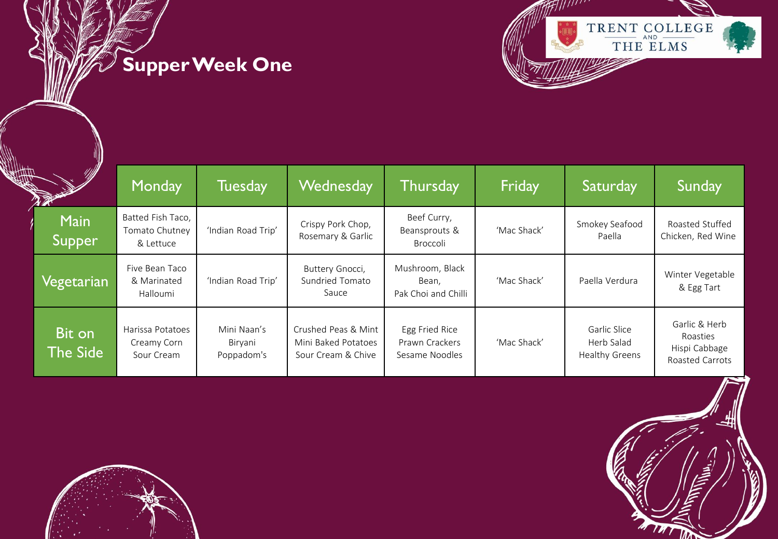## **Supper Week One**



| <b>MIN</b><br>Щг      | Monday                                           | <b>Tuesday</b>                       | Wednesday                                                        | <b>Thursday</b>                                    | Friday      | Saturday                                     | Sunday                                                        |
|-----------------------|--------------------------------------------------|--------------------------------------|------------------------------------------------------------------|----------------------------------------------------|-------------|----------------------------------------------|---------------------------------------------------------------|
| <b>Main</b><br>Supper | Batted Fish Taco,<br>Tomato Chutney<br>& Lettuce | 'Indian Road Trip'                   | Crispy Pork Chop,<br>Rosemary & Garlic                           | Beef Curry,<br>Beansprouts &<br>Broccoli           | 'Mac Shack' | Smokey Seafood<br>Paella                     | Roasted Stuffed<br>Chicken, Red Wine                          |
| Vegetarian            | Five Bean Taco<br>& Marinated<br>Halloumi        | 'Indian Road Trip'                   | Buttery Gnocci,<br>Sundried Tomato<br>Sauce                      | Mushroom, Black<br>Bean,<br>Pak Choi and Chilli    | 'Mac Shack' | Paella Verdura                               | Winter Vegetable<br>& Egg Tart                                |
| Bit on<br>The Side    | Harissa Potatoes<br>Creamy Corn<br>Sour Cream    | Mini Naan's<br>Biryani<br>Poppadom's | Crushed Peas & Mint<br>Mini Baked Potatoes<br>Sour Cream & Chive | Egg Fried Rice<br>Prawn Crackers<br>Sesame Noodles | 'Mac Shack' | Garlic Slice<br>Herb Salad<br>Healthy Greens | Garlic & Herb<br>Roasties<br>Hispi Cabbage<br>Roasted Carrots |



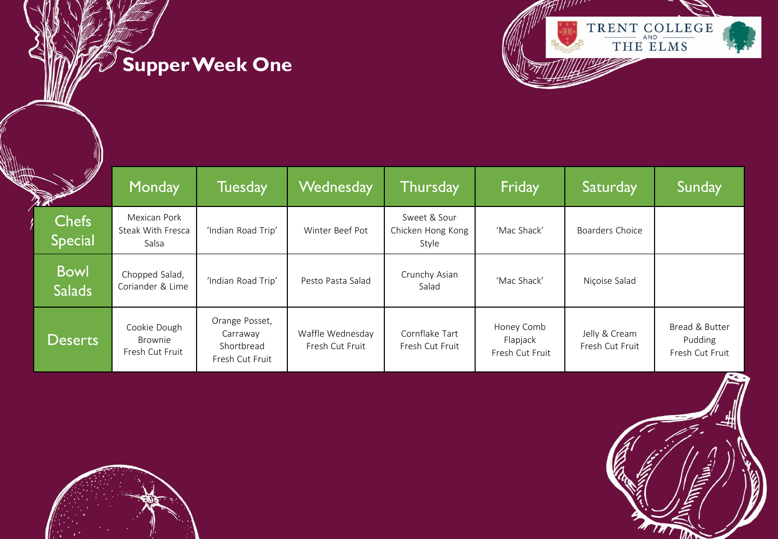## **Supper Week One**



| <u>M</u><br>Щ<br><b>ROCKET ROOM</b> | Monday                                     | Tuesday                                                     | Wednesday                           | Thursday                                   | Friday                                    | Saturday                         | Sunday                                       |
|-------------------------------------|--------------------------------------------|-------------------------------------------------------------|-------------------------------------|--------------------------------------------|-------------------------------------------|----------------------------------|----------------------------------------------|
| <b>Chefs</b><br><b>Special</b>      | Mexican Pork<br>Steak With Fresca<br>Salsa | 'Indian Road Trip'                                          | Winter Beef Pot                     | Sweet & Sour<br>Chicken Hong Kong<br>Style | 'Mac Shack'                               | Boarders Choice                  |                                              |
| <b>Bowl</b><br><b>Salads</b>        | Chopped Salad,<br>Coriander & Lime         | 'Indian Road Trip'                                          | Pesto Pasta Salad                   | Crunchy Asian<br>Salad                     | 'Mac Shack'                               | Niçoise Salad                    |                                              |
| <b>Deserts</b>                      | Cookie Dough<br>Brownie<br>Fresh Cut Fruit | Orange Posset,<br>Carraway<br>Shortbread<br>Fresh Cut Fruit | Waffle Wednesday<br>Fresh Cut Fruit | Cornflake Tart<br>Fresh Cut Fruit          | Honey Comb<br>Flapjack<br>Fresh Cut Fruit | Jelly & Cream<br>Fresh Cut Fruit | Bread & Butter<br>Pudding<br>Fresh Cut Fruit |



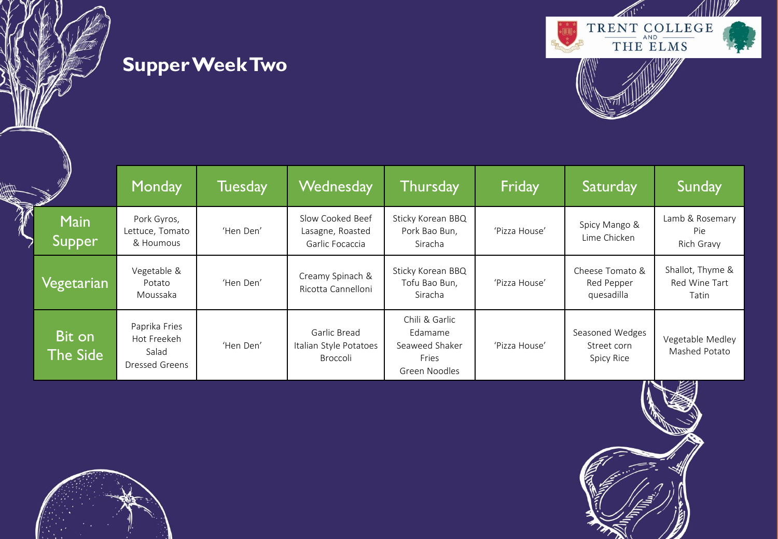



|              |                              | Monday                                                  | Tuesday   | Wednesday                                               | Thursday                                                              | Friday        | Saturday                                            | Sunday                                     |
|--------------|------------------------------|---------------------------------------------------------|-----------|---------------------------------------------------------|-----------------------------------------------------------------------|---------------|-----------------------------------------------------|--------------------------------------------|
| $\mathbb{N}$ | <b>Main</b><br><b>Supper</b> | Pork Gyros,<br>Lettuce, Tomato<br>& Houmous             | 'Hen Den' | Slow Cooked Beef<br>Lasagne, Roasted<br>Garlic Focaccia | Sticky Korean BBQ<br>Pork Bao Bun,<br>Siracha                         | 'Pizza House' | Spicy Mango &<br>Lime Chicken                       | Lamb & Rosemary<br>Pie<br>Rich Gravy       |
|              | Vegetarian                   | Vegetable &<br>Potato<br>Moussaka                       | 'Hen Den' | Creamy Spinach &<br>Ricotta Cannelloni                  | Sticky Korean BBQ<br>Tofu Bao Bun,<br>Siracha                         | 'Pizza House' | Cheese Tomato &<br>Red Pepper<br>quesadilla         | Shallot, Thyme &<br>Red Wine Tart<br>Tatin |
|              | Bit on<br>The Side           | Paprika Fries<br>Hot Freekeh<br>Salad<br>Dressed Greens | 'Hen Den' | Garlic Bread<br>Italian Style Potatoes<br>Broccoli      | Chili & Garlic<br>Edamame<br>Seaweed Shaker<br>Fries<br>Green Noodles | 'Pizza House' | Seasoned Wedges<br>Street corn<br><b>Spicy Rice</b> | Vegetable Medley<br>Mashed Potato          |



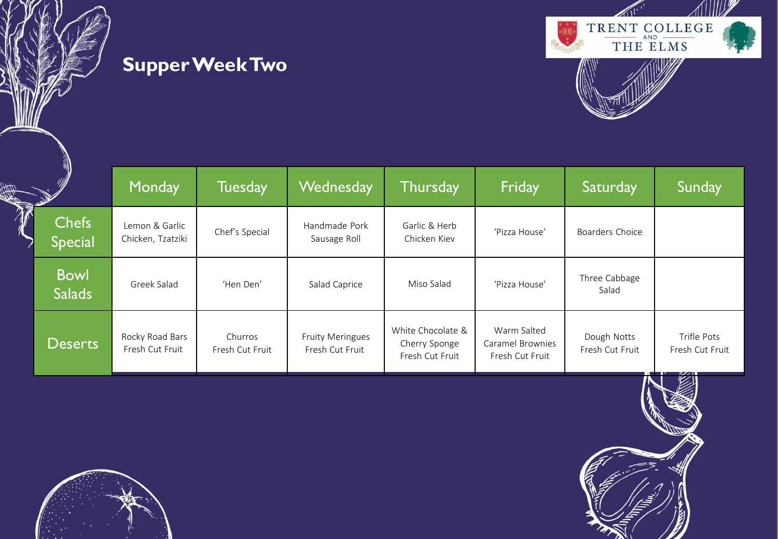



|                           |                                | Monday                              | Tuesday                    | Wednesday                                  | Thursday                                              | Friday                                             | Saturday                       | Sunday                         |
|---------------------------|--------------------------------|-------------------------------------|----------------------------|--------------------------------------------|-------------------------------------------------------|----------------------------------------------------|--------------------------------|--------------------------------|
| $\widetilde{\mathcal{W}}$ | <b>Chefs</b><br><b>Special</b> | Lemon & Garlic<br>Chicken, Tzatziki | Chef's Special             | Handmade Pork<br>Sausage Roll              | Garlic & Herb<br>Chicken Kiev                         | 'Pizza House'                                      | Boarders Choice                |                                |
|                           | <b>Bowl</b><br><b>Salads</b>   | Greek Salad                         | 'Hen Den'                  | Salad Caprice                              | Miso Salad                                            | 'Pizza House'                                      | Three Cabbage<br>Salad         |                                |
|                           | <b>Deserts</b>                 | Rocky Road Bars<br>Fresh Cut Fruit  | Churros<br>Fresh Cut Fruit | <b>Fruity Meringues</b><br>Fresh Cut Fruit | White Chocolate &<br>Cherry Sponge<br>Fresh Cut Fruit | Warm Salted<br>Caramel Brownies<br>Fresh Cut Fruit | Dough Notts<br>Fresh Cut Fruit | Trifle Pots<br>Fresh Cut Fruit |



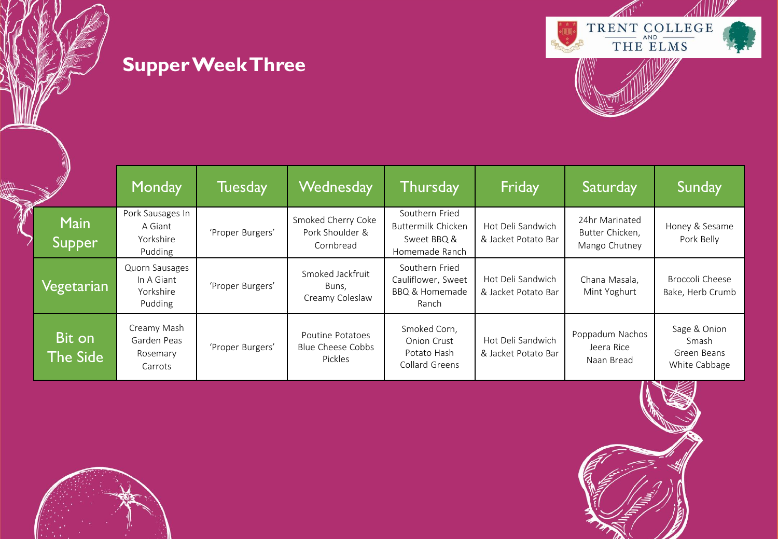



|                           | Monday                                               | <b>Tuesday</b>   | <b>Wednesday</b>                                   | <b>Thursday</b>                                                            | Friday                                   | Saturday                                                    | Sunday                                                              |
|---------------------------|------------------------------------------------------|------------------|----------------------------------------------------|----------------------------------------------------------------------------|------------------------------------------|-------------------------------------------------------------|---------------------------------------------------------------------|
| <b>Main</b><br>Supper     | Pork Sausages In<br>A Giant<br>Yorkshire<br>Pudding  | 'Proper Burgers' | Smoked Cherry Coke<br>Pork Shoulder &<br>Cornbread | Southern Fried<br>Buttermilk Chicken<br>Sweet BBQ &<br>Homemade Ranch      | Hot Deli Sandwich<br>& Jacket Potato Bar | 24hr Marinated<br>Butter Chicken,<br>Mango Chutney          | Honey & Sesame<br>Pork Belly                                        |
| Vegetarian                | Quorn Sausages<br>In A Giant<br>Yorkshire<br>Pudding | 'Proper Burgers' | Smoked Jackfruit<br>Buns,<br>Creamy Coleslaw       | Southern Fried<br>Cauliflower, Sweet<br><b>BBQ &amp; Homemade</b><br>Ranch | Hot Deli Sandwich<br>& Jacket Potato Bar | Chana Masala,<br>Mint Yoghurt                               | Broccoli Cheese<br>Bake, Herb Crumb                                 |
| Bit on<br><b>The Side</b> | Creamy Mash<br>Garden Peas<br>Rosemary<br>Carrots    | 'Proper Burgers' | Poutine Potatoes<br>Blue Cheese Cobbs<br>Pickles   | Smoked Corn,<br><b>Onion Crust</b><br>Potato Hash<br>Collard Greens        | Hot Deli Sandwich<br>& Jacket Potato Bar | Poppadum Nachos<br>Jeera Rice<br>Naan Bread<br>$\mathbf{r}$ | Sage & Onion<br>Smash<br>Green Beans<br>White Cabbage<br>$\sqrt{2}$ |